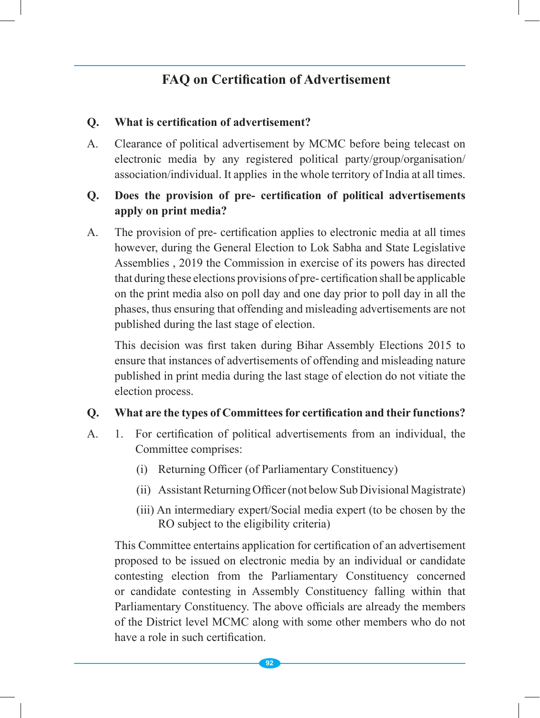# **FAQ on Certification of Advertisement**

#### **Q. What is certification of advertisement?**

A. Clearance of political advertisement by MCMC before being telecast on electronic media by any registered political party/group/organisation/ association/individual. It applies in the whole territory of India at all times.

#### **Q. Does the provision of pre- certification of political advertisements apply on print media?**

A. The provision of pre- certification applies to electronic media at all times however, during the General Election to Lok Sabha and State Legislative Assemblies , 2019 the Commission in exercise of its powers has directed that during these elections provisions of pre- certification shall be applicable on the print media also on poll day and one day prior to poll day in all the phases, thus ensuring that offending and misleading advertisements are not published during the last stage of election.

This decision was first taken during Bihar Assembly Elections 2015 to ensure that instances of advertisements of offending and misleading nature published in print media during the last stage of election do not vitiate the election process.

#### **Q. What are the types of Committeesfor certification and their functions?**

- A. 1. For certification of political advertisements from an individual, the Committee comprises:
	- (i) Returning Officer (of Parliamentary Constituency)
	- (ii) Assistant Returning Officer (not below Sub Divisional Magistrate)
	- (iii) An intermediary expert/Social media expert (to be chosen by the RO subject to the eligibility criteria)

This Committee entertains application for certification of an advertisement proposed to be issued on electronic media by an individual or candidate contesting election from the Parliamentary Constituency concerned or candidate contesting in Assembly Constituency falling within that Parliamentary Constituency. The above officials are already the members of the District level MCMC along with some other members who do not have a role in such certification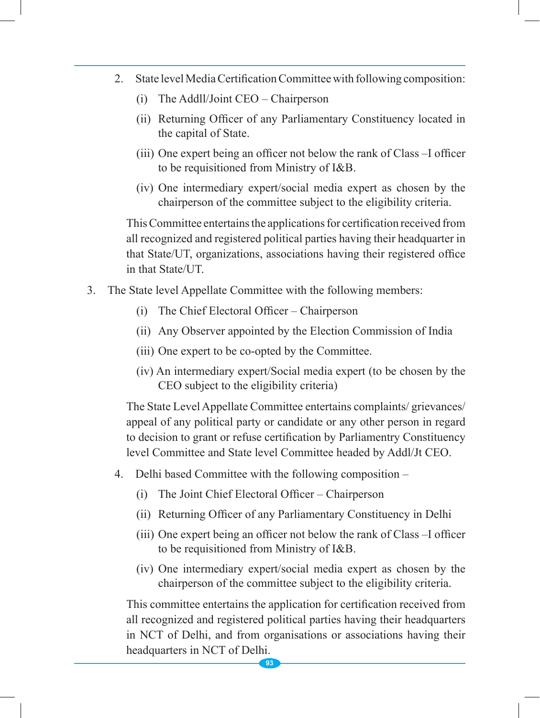- 2. State level Media Certification Committee with following composition:
	- (i) The Addll/Joint CEO Chairperson
	- (ii) Returning Officer of any Parliamentary Constituency located in the capital of State.
	- (iii) One expert being an officer not below the rank of Class –I officer to be requisitioned from Ministry of I&B.
	- (iv) One intermediary expert/social media expert as chosen by the chairperson of the committee subject to the eligibility criteria.

 This Committee entertains the applications for certification received from all recognized and registered political parties having their headquarter in that State/UT, organizations, associations having their registered office in that State/UT.

- 3. The State level Appellate Committee with the following members:
	- (i) The Chief Electoral Officer Chairperson
	- (ii) Any Observer appointed by the Election Commission of India
	- (iii) One expert to be co-opted by the Committee.
	- (iv) An intermediary expert/Social media expert (to be chosen by the CEO subject to the eligibility criteria)

 The State Level Appellate Committee entertains complaints/ grievances/ appeal of any political party or candidate or any other person in regard to decision to grant or refuse certification by Parliamentry Constituency level Committee and State level Committee headed by Addl/Jt CEO.

- 4. Delhi based Committee with the following composition
	- (i) The Joint Chief Electoral Officer Chairperson
	- (ii) Returning Officer of any Parliamentary Constituency in Delhi
	- (iii) One expert being an officer not below the rank of Class –I officer to be requisitioned from Ministry of I&B.
	- (iv) One intermediary expert/social media expert as chosen by the chairperson of the committee subject to the eligibility criteria.

 This committee entertains the application for certification received from all recognized and registered political parties having their headquarters in NCT of Delhi, and from organisations or associations having their headquarters in NCT of Delhi.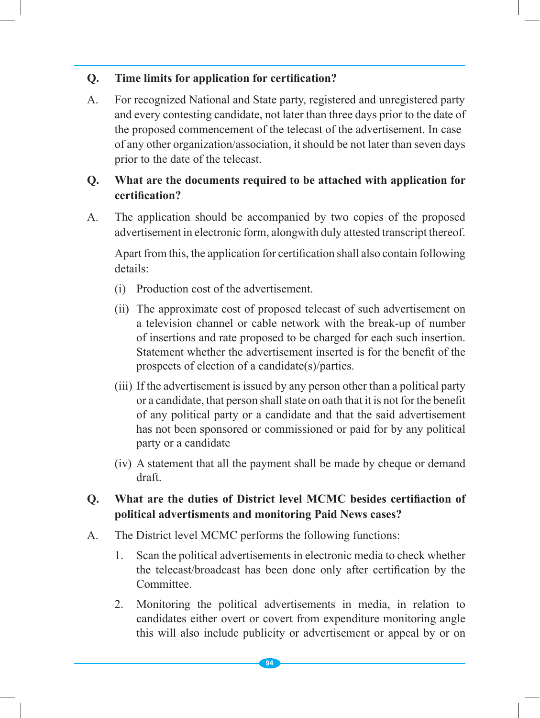## **Q. Time limits for application for certification?**

A. For recognized National and State party, registered and unregistered party and every contesting candidate, not later than three days prior to the date of the proposed commencement of the telecast of the advertisement. In case of any other organization/association, it should be not later than seven days prior to the date of the telecast.

## **Q. What are the documents required to be attached with application for certification?**

A. The application should be accompanied by two copies of the proposed advertisement in electronic form, alongwith duly attested transcript thereof.

Apart from this, the application for certification shall also contain following details:

- (i) Production cost of the advertisement.
- (ii) The approximate cost of proposed telecast of such advertisement on a television channel or cable network with the break-up of number of insertions and rate proposed to be charged for each such insertion. Statement whether the advertisement inserted is for the benefit of the prospects of election of a candidate(s)/parties.
- (iii) If the advertisement is issued by any person other than a political party or a candidate, that person shall state on oath that it is not for the benefit of any political party or a candidate and that the said advertisement has not been sponsored or commissioned or paid for by any political party or a candidate
- (iv) A statement that all the payment shall be made by cheque or demand draft.

#### **Q. What are the duties of District level MCMC besides certifiaction of political advertisments and monitoring Paid News cases?**

- A. The District level MCMC performs the following functions:
	- 1. Scan the political advertisements in electronic media to check whether the telecast/broadcast has been done only after certification by the Committee.
	- 2. Monitoring the political advertisements in media, in relation to candidates either overt or covert from expenditure monitoring angle this will also include publicity or advertisement or appeal by or on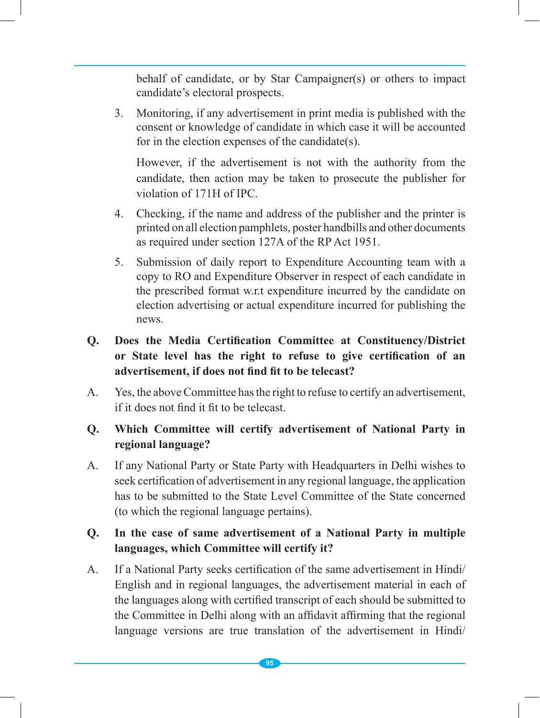behalf of candidate, or by Star Campaigner(s) or others to impact candidate's electoral prospects.

3. Monitoring, if any advertisement in print media is published with the consent or knowledge of candidate in which case it will be accounted for in the election expenses of the candidate(s).

However, if the advertisement is not with the authority from the candidate, then action may be taken to prosecute the publisher for violation of 171H of IPC.

- 4. Checking, if the name and address of the publisher and the printer is printed on all election pamphlets, poster handbills and other documents as required under section 127A of the RP Act 1951.
- 5. Submission of daily report to Expenditure Accounting team with a copy to RO and Expenditure Observer in respect of each candidate in the prescribed format w.r.t expenditure incurred by the candidate on election advertising or actual expenditure incurred for publishing the news.
- **Q. Does the Media Certification Committee at Constituency/District or State level has the right to refuse to give certification of an advertisement, if does not find fit to be telecast?**
- A. Yes, the above Committee has the right to refuse to certify an advertisement, if it does not find it fit to be telecast.

## **Q. Which Committee will certify advertisement of National Party in regional language?**

A. If any National Party or State Party with Headquarters in Delhi wishes to seek certification of advertisement in any regional language, the application has to be submitted to the State Level Committee of the State concerned (to which the regional language pertains).

#### **Q. In the case of same advertisement of a National Party in multiple languages, which Committee will certify it?**

A. If a National Party seeks certification of the same advertisement in Hindi/ English and in regional languages, the advertisement material in each of the languages along with certified transcript of each should be submitted to the Committee in Delhi along with an affidavit affirming that the regional language versions are true translation of the advertisement in Hindi/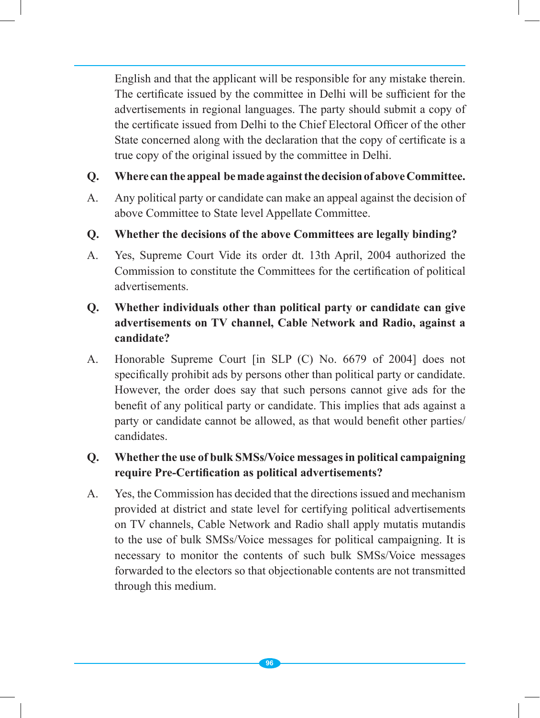English and that the applicant will be responsible for any mistake therein. The certificate issued by the committee in Delhi will be sufficient for the advertisements in regional languages. The party should submit a copy of the certificate issued from Delhi to the Chief Electoral Officer of the other State concerned along with the declaration that the copy of certificate is a true copy of the original issued by the committee in Delhi.

#### **Q. Where canthe appeal bemade againstthedecisionof aboveCommittee.**

- A. Any political party or candidate can make an appeal against the decision of above Committee to State level Appellate Committee.
- **Q. Whether the decisions of the above Committees are legally binding?**
- A. Yes, Supreme Court Vide its order dt. 13th April, 2004 authorized the Commission to constitute the Committees for the certification of political advertisements.

## **Q. Whether individuals other than political party or candidate can give advertisements on TV channel, Cable Network and Radio, against a candidate?**

A. Honorable Supreme Court [in SLP (C) No. 6679 of 2004] does not specifically prohibit ads by persons other than political party or candidate. However, the order does say that such persons cannot give ads for the benefit of any political party or candidate. This implies that ads against a party or candidate cannot be allowed, as that would benefit other parties/ candidates.

## **Q. Whether the use of bulk SMSs/Voice messagesin political campaigning require Pre-Certification as political advertisements?**

A. Yes, the Commission has decided that the directions issued and mechanism provided at district and state level for certifying political advertisements on TV channels, Cable Network and Radio shall apply mutatis mutandis to the use of bulk SMSs/Voice messages for political campaigning. It is necessary to monitor the contents of such bulk SMSs/Voice messages forwarded to the electors so that objectionable contents are not transmitted through this medium.